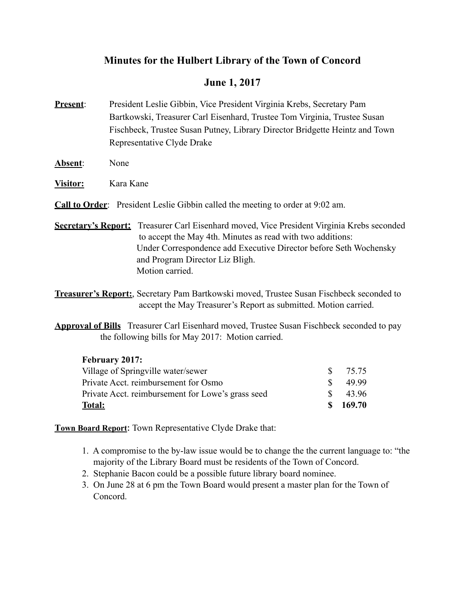# **Minutes for the Hulbert Library of the Town of Concord**

# **June 1, 2017**

- **Present**: President Leslie Gibbin, Vice President Virginia Krebs, Secretary Pam Bartkowski, Treasurer Carl Eisenhard, Trustee Tom Virginia, Trustee Susan Fischbeck, Trustee Susan Putney, Library Director Bridgette Heintz and Town Representative Clyde Drake
- **Absent**: None
- **Visitor:** Kara Kane
- **Call to Order**: President Leslie Gibbin called the meeting to order at 9:02 am.
- **Secretary's Report:** Treasurer Carl Eisenhard moved, Vice President Virginia Krebs seconded to accept the May 4th. Minutes as read with two additions: Under Correspondence add Executive Director before Seth Wochensky and Program Director Liz Bligh. Motion carried.
- **Treasurer's Report:**, Secretary Pam Bartkowski moved, Trustee Susan Fischbeck seconded to accept the May Treasurer's Report as submitted. Motion carried.
- **Approval of Bills** Treasurer Carl Eisenhard moved, Trustee Susan Fischbeck seconded to pay the following bills for May 2017: Motion carried.

## **February 2017:**

| <b>Total:</b>                                     | S.           | 169.70 |
|---------------------------------------------------|--------------|--------|
| Private Acct. reimbursement for Lowe's grass seed |              | 43.96  |
| Private Acct. reimbursement for Osmo              |              | 49.99  |
| Village of Springville water/sewer                | $\mathbf{S}$ | 75 75  |
|                                                   |              |        |

**Town Board Report**: Town Representative Clyde Drake that:

- 1. A compromise to the by-law issue would be to change the the current language to: "the majority of the Library Board must be residents of the Town of Concord.
- 2. Stephanie Bacon could be a possible future library board nominee.
- 3. On June 28 at 6 pm the Town Board would present a master plan for the Town of Concord.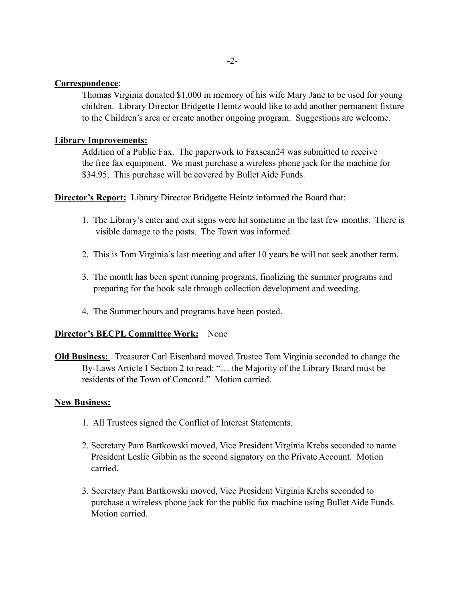#### **Correspondence**:

 Thomas Virginia donated \$1,000 in memory of his wife Mary Jane to be used for young children. Library Director Bridgette Heintz would like to add another permanent fixture to the Children's area or create another ongoing program. Suggestions are welcome.

### **Library Improvements:**

 Addition of a Public Fax. The paperwork to Faxscan24 was submitted to receive the free fax equipment. We must purchase a wireless phone jack for the machine for \$34.95. This purchase will be covered by Bullet Aide Funds.

**Director's Report:** Library Director Bridgette Heintz informed the Board that:

- 1. The Library's enter and exit signs were hit sometime in the last few months. There is visible damage to the posts. The Town was informed.
- 2. This is Tom Virginia's last meeting and after 10 years he will not seek another term.
- 3. The month has been spent running programs, finalizing the summer programs and preparing for the book sale through collection development and weeding.
- 4. The Summer hours and programs have been posted.

#### **Director's BECPL Committee Work:** None

**Old Business:** Treasurer Carl Eisenhard moved.Trustee Tom Virginia seconded to change the By-Laws Article I Section 2 to read: "… the Majority of the Library Board must be residents of the Town of Concord." Motion carried.

#### **New Business:**

- 1. All Trustees signed the Conflict of Interest Statements.
- 2. Secretary Pam Bartkowski moved, Vice President Virginia Krebs seconded to name President Leslie Gibbin as the second signatory on the Private Account. Motion carried.
- 3. Secretary Pam Bartkowski moved, Vice President Virginia Krebs seconded to purchase a wireless phone jack for the public fax machine using Bullet Aide Funds. Motion carried.